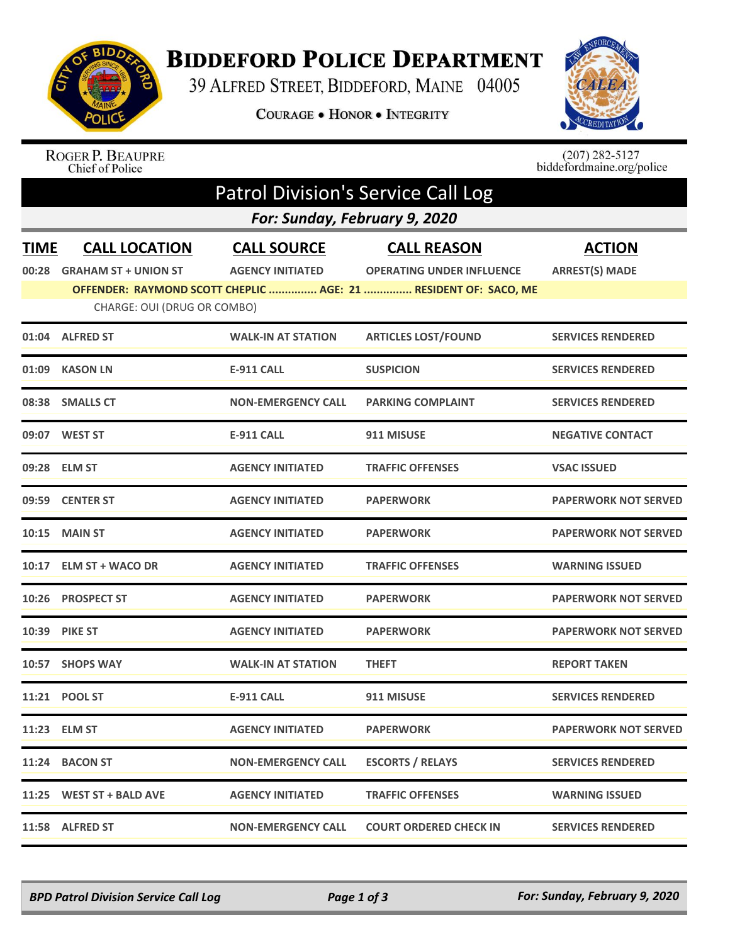

## **BIDDEFORD POLICE DEPARTMENT**

39 ALFRED STREET, BIDDEFORD, MAINE 04005

COURAGE . HONOR . INTEGRITY



## ROGER P. BEAUPRE<br>Chief of Police

 $(207)$  282-5127<br>biddefordmaine.org/police

| <b>Patrol Division's Service Call Log</b> |                                                     |                                               |                                                                 |                                        |  |  |  |  |
|-------------------------------------------|-----------------------------------------------------|-----------------------------------------------|-----------------------------------------------------------------|----------------------------------------|--|--|--|--|
|                                           | For: Sunday, February 9, 2020                       |                                               |                                                                 |                                        |  |  |  |  |
| <b>TIME</b><br>00:28                      | <b>CALL LOCATION</b><br><b>GRAHAM ST + UNION ST</b> | <b>CALL SOURCE</b><br><b>AGENCY INITIATED</b> | <b>CALL REASON</b><br><b>OPERATING UNDER INFLUENCE</b>          | <b>ACTION</b><br><b>ARREST(S) MADE</b> |  |  |  |  |
|                                           |                                                     |                                               | OFFENDER: RAYMOND SCOTT CHEPLIC  AGE: 21  RESIDENT OF: SACO, ME |                                        |  |  |  |  |
|                                           | CHARGE: OUI (DRUG OR COMBO)                         |                                               |                                                                 |                                        |  |  |  |  |
|                                           | 01:04 ALFRED ST                                     | <b>WALK-IN AT STATION</b>                     | <b>ARTICLES LOST/FOUND</b>                                      | <b>SERVICES RENDERED</b>               |  |  |  |  |
| 01:09                                     | <b>KASON LN</b>                                     | <b>E-911 CALL</b>                             | <b>SUSPICION</b>                                                | <b>SERVICES RENDERED</b>               |  |  |  |  |
|                                           | 08:38 SMALLS CT                                     | <b>NON-EMERGENCY CALL</b>                     | <b>PARKING COMPLAINT</b>                                        | <b>SERVICES RENDERED</b>               |  |  |  |  |
| 09:07                                     | <b>WEST ST</b>                                      | <b>E-911 CALL</b>                             | 911 MISUSE                                                      | <b>NEGATIVE CONTACT</b>                |  |  |  |  |
|                                           | 09:28 ELM ST                                        | <b>AGENCY INITIATED</b>                       | <b>TRAFFIC OFFENSES</b>                                         | <b>VSAC ISSUED</b>                     |  |  |  |  |
| 09:59                                     | <b>CENTER ST</b>                                    | <b>AGENCY INITIATED</b>                       | <b>PAPERWORK</b>                                                | <b>PAPERWORK NOT SERVED</b>            |  |  |  |  |
|                                           | <b>10:15 MAIN ST</b>                                | <b>AGENCY INITIATED</b>                       | <b>PAPERWORK</b>                                                | <b>PAPERWORK NOT SERVED</b>            |  |  |  |  |
| 10:17                                     | <b>ELM ST + WACO DR</b>                             | <b>AGENCY INITIATED</b>                       | <b>TRAFFIC OFFENSES</b>                                         | <b>WARNING ISSUED</b>                  |  |  |  |  |
| 10:26                                     | <b>PROSPECT ST</b>                                  | <b>AGENCY INITIATED</b>                       | <b>PAPERWORK</b>                                                | <b>PAPERWORK NOT SERVED</b>            |  |  |  |  |
| 10:39                                     | <b>PIKE ST</b>                                      | <b>AGENCY INITIATED</b>                       | <b>PAPERWORK</b>                                                | <b>PAPERWORK NOT SERVED</b>            |  |  |  |  |
| 10:57                                     | <b>SHOPS WAY</b>                                    | <b>WALK-IN AT STATION</b>                     | THEFT                                                           | <b>REPORT TAKEN</b>                    |  |  |  |  |
| 11:21                                     | <b>POOL ST</b>                                      | <b>E-911 CALL</b>                             | 911 MISUSE                                                      | <b>SERVICES RENDERED</b>               |  |  |  |  |
|                                           | 11:23 ELM ST                                        | <b>AGENCY INITIATED</b>                       | <b>PAPERWORK</b>                                                | <b>PAPERWORK NOT SERVED</b>            |  |  |  |  |
|                                           | 11:24 BACON ST                                      | <b>NON-EMERGENCY CALL</b>                     | <b>ESCORTS / RELAYS</b>                                         | <b>SERVICES RENDERED</b>               |  |  |  |  |
|                                           | 11:25 WEST ST + BALD AVE                            | <b>AGENCY INITIATED</b>                       | <b>TRAFFIC OFFENSES</b>                                         | <b>WARNING ISSUED</b>                  |  |  |  |  |
|                                           | 11:58 ALFRED ST                                     | <b>NON-EMERGENCY CALL</b>                     | <b>COURT ORDERED CHECK IN</b>                                   | <b>SERVICES RENDERED</b>               |  |  |  |  |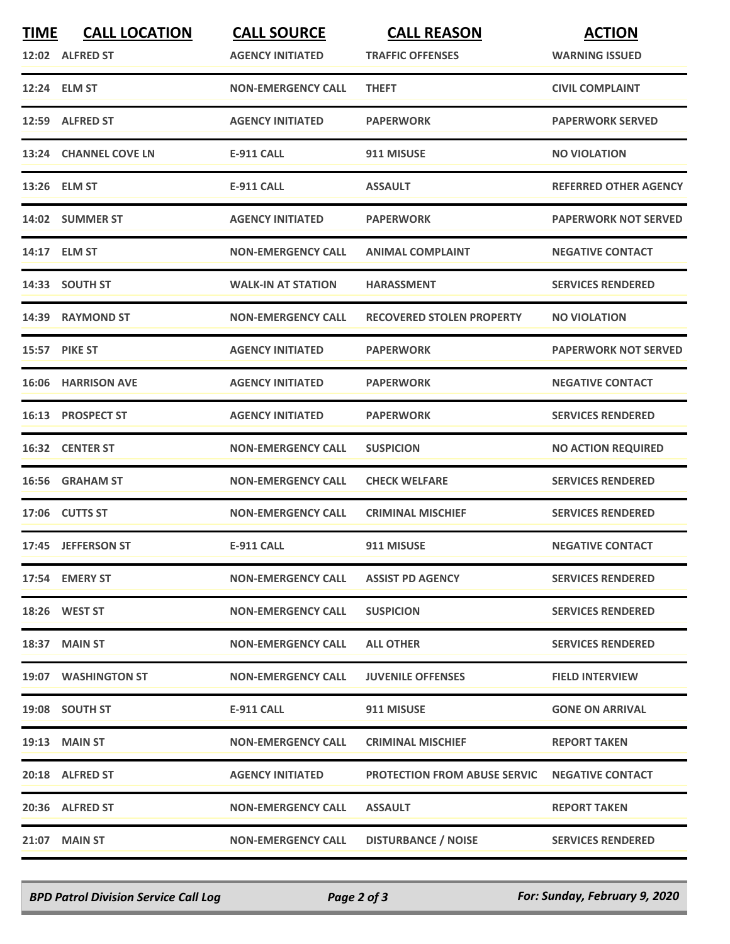| <b>TIME</b> | <b>CALL LOCATION</b><br>12:02 ALFRED ST | <b>CALL SOURCE</b><br><b>AGENCY INITIATED</b> | <b>CALL REASON</b><br><b>TRAFFIC OFFENSES</b> | <b>ACTION</b><br><b>WARNING ISSUED</b> |
|-------------|-----------------------------------------|-----------------------------------------------|-----------------------------------------------|----------------------------------------|
|             | 12:24 ELM ST                            | <b>NON-EMERGENCY CALL</b>                     | <b>THEFT</b>                                  | <b>CIVIL COMPLAINT</b>                 |
|             | 12:59 ALFRED ST                         | <b>AGENCY INITIATED</b>                       | <b>PAPERWORK</b>                              | <b>PAPERWORK SERVED</b>                |
|             | 13:24 CHANNEL COVE LN                   | <b>E-911 CALL</b>                             | 911 MISUSE                                    | <b>NO VIOLATION</b>                    |
|             | 13:26 ELM ST                            | <b>E-911 CALL</b>                             | <b>ASSAULT</b>                                | <b>REFERRED OTHER AGENCY</b>           |
|             | 14:02 SUMMER ST                         | <b>AGENCY INITIATED</b>                       | <b>PAPERWORK</b>                              | <b>PAPERWORK NOT SERVED</b>            |
|             | 14:17 ELM ST                            | <b>NON-EMERGENCY CALL</b>                     | <b>ANIMAL COMPLAINT</b>                       | <b>NEGATIVE CONTACT</b>                |
|             | 14:33 SOUTH ST                          | <b>WALK-IN AT STATION</b>                     | <b>HARASSMENT</b>                             | <b>SERVICES RENDERED</b>               |
|             | 14:39 RAYMOND ST                        | <b>NON-EMERGENCY CALL</b>                     | <b>RECOVERED STOLEN PROPERTY</b>              | <b>NO VIOLATION</b>                    |
|             | <b>15:57 PIKE ST</b>                    | <b>AGENCY INITIATED</b>                       | <b>PAPERWORK</b>                              | <b>PAPERWORK NOT SERVED</b>            |
|             | <b>16:06 HARRISON AVE</b>               | <b>AGENCY INITIATED</b>                       | <b>PAPERWORK</b>                              | <b>NEGATIVE CONTACT</b>                |
|             | 16:13 PROSPECT ST                       | <b>AGENCY INITIATED</b>                       | <b>PAPERWORK</b>                              | <b>SERVICES RENDERED</b>               |
|             | 16:32 CENTER ST                         | <b>NON-EMERGENCY CALL</b>                     | <b>SUSPICION</b>                              | <b>NO ACTION REQUIRED</b>              |
|             | 16:56 GRAHAM ST                         | <b>NON-EMERGENCY CALL</b>                     | <b>CHECK WELFARE</b>                          | <b>SERVICES RENDERED</b>               |
|             | 17:06 CUTTS ST                          | <b>NON-EMERGENCY CALL</b>                     | <b>CRIMINAL MISCHIEF</b>                      | <b>SERVICES RENDERED</b>               |
|             | 17:45 JEFFERSON ST                      | <b>E-911 CALL</b>                             | 911 MISUSE                                    | <b>NEGATIVE CONTACT</b>                |
|             | 17:54 EMERY ST                          | <b>NON-EMERGENCY CALL</b>                     | <b>ASSIST PD AGENCY</b>                       | <b>SERVICES RENDERED</b>               |
|             | 18:26 WEST ST                           | <b>NON-EMERGENCY CALL</b>                     | <b>SUSPICION</b>                              | <b>SERVICES RENDERED</b>               |
|             | 18:37 MAIN ST                           | <b>NON-EMERGENCY CALL</b>                     | <b>ALL OTHER</b>                              | <b>SERVICES RENDERED</b>               |
|             | 19:07 WASHINGTON ST                     | <b>NON-EMERGENCY CALL</b>                     | <b>JUVENILE OFFENSES</b>                      | <b>FIELD INTERVIEW</b>                 |
|             | 19:08 SOUTH ST                          | E-911 CALL                                    | 911 MISUSE                                    | <b>GONE ON ARRIVAL</b>                 |
|             | <b>19:13 MAIN ST</b>                    | <b>NON-EMERGENCY CALL</b>                     | <b>CRIMINAL MISCHIEF</b>                      | <b>REPORT TAKEN</b>                    |
|             | 20:18 ALFRED ST                         | <b>AGENCY INITIATED</b>                       | <b>PROTECTION FROM ABUSE SERVIC</b>           | <b>NEGATIVE CONTACT</b>                |
|             | 20:36 ALFRED ST                         | <b>NON-EMERGENCY CALL</b>                     | <b>ASSAULT</b>                                | <b>REPORT TAKEN</b>                    |
|             | <b>21:07 MAIN ST</b>                    | <b>NON-EMERGENCY CALL</b>                     | <b>DISTURBANCE / NOISE</b>                    | <b>SERVICES RENDERED</b>               |

*BPD Patrol Division Service Call Log Page 2 of 3 For: Sunday, February 9, 2020*